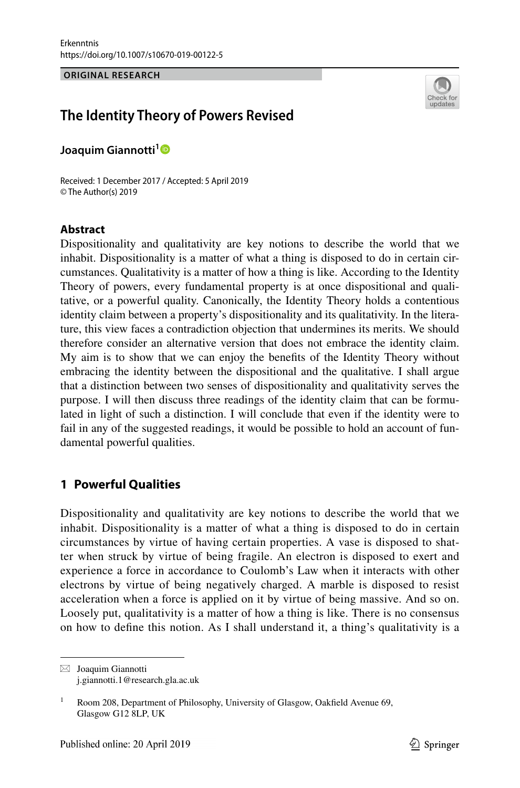**ORIGINAL RESEARCH**



# **The Identity Theory of Powers Revised**

**Joaquim Giannotti[1](http://orcid.org/0000-0002-4058-4093)**

Received: 1 December 2017 / Accepted: 5 April 2019 © The Author(s) 2019

## **Abstract**

Dispositionality and qualitativity are key notions to describe the world that we inhabit. Dispositionality is a matter of what a thing is disposed to do in certain circumstances. Qualitativity is a matter of how a thing is like. According to the Identity Theory of powers, every fundamental property is at once dispositional and qualitative, or a powerful quality. Canonically, the Identity Theory holds a contentious identity claim between a property's dispositionality and its qualitativity. In the literature, this view faces a contradiction objection that undermines its merits. We should therefore consider an alternative version that does not embrace the identity claim. My aim is to show that we can enjoy the benefts of the Identity Theory without embracing the identity between the dispositional and the qualitative. I shall argue that a distinction between two senses of dispositionality and qualitativity serves the purpose. I will then discuss three readings of the identity claim that can be formulated in light of such a distinction. I will conclude that even if the identity were to fail in any of the suggested readings, it would be possible to hold an account of fundamental powerful qualities.

# <span id="page-0-0"></span>**1 Powerful Qualities**

Dispositionality and qualitativity are key notions to describe the world that we inhabit. Dispositionality is a matter of what a thing is disposed to do in certain circumstances by virtue of having certain properties. A vase is disposed to shatter when struck by virtue of being fragile. An electron is disposed to exert and experience a force in accordance to Coulomb's Law when it interacts with other electrons by virtue of being negatively charged. A marble is disposed to resist acceleration when a force is applied on it by virtue of being massive. And so on. Loosely put, qualitativity is a matter of how a thing is like. There is no consensus on how to defne this notion. As I shall understand it, a thing's qualitativity is a

 $\boxtimes$  Joaquim Giannotti j.giannotti.1@research.gla.ac.uk

<sup>&</sup>lt;sup>1</sup> Room 208, Department of Philosophy, University of Glasgow, Oakfield Avenue 69, Glasgow G12 8LP, UK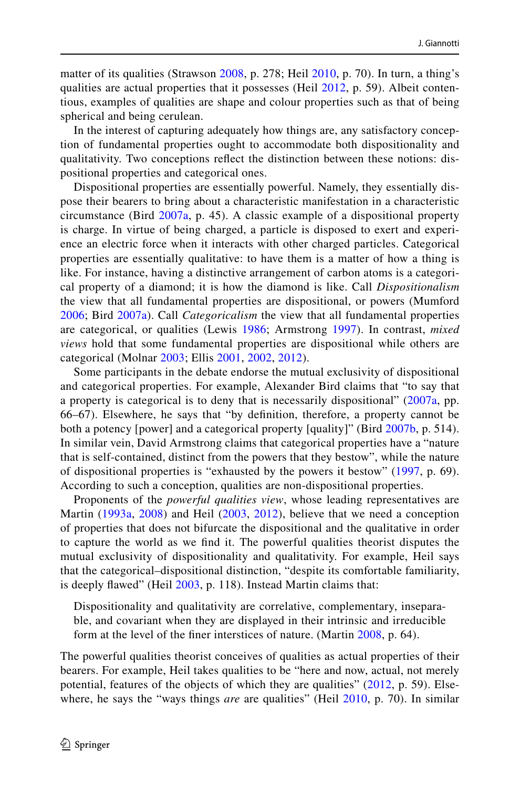matter of its qualities (Strawson [2008](#page-18-0), p. 278; Heil [2010](#page-18-1), p. 70). In turn, a thing's qualities are actual properties that it possesses (Heil [2012,](#page-18-2) p. 59). Albeit contentious, examples of qualities are shape and colour properties such as that of being spherical and being cerulean.

In the interest of capturing adequately how things are, any satisfactory conception of fundamental properties ought to accommodate both dispositionality and qualitativity. Two conceptions refect the distinction between these notions: dispositional properties and categorical ones.

Dispositional properties are essentially powerful. Namely, they essentially dispose their bearers to bring about a characteristic manifestation in a characteristic circumstance (Bird [2007a](#page-17-0), p. 45). A classic example of a dispositional property is charge. In virtue of being charged, a particle is disposed to exert and experience an electric force when it interacts with other charged particles. Categorical properties are essentially qualitative: to have them is a matter of how a thing is like. For instance, having a distinctive arrangement of carbon atoms is a categorical property of a diamond; it is how the diamond is like. Call *Dispositionalism* the view that all fundamental properties are dispositional, or powers (Mumford [2006;](#page-18-3) Bird [2007a](#page-17-0)). Call *Categoricalism* the view that all fundamental properties are categorical, or qualities (Lewis [1986](#page-18-4); Armstrong [1997\)](#page-17-1). In contrast, *mixed views* hold that some fundamental properties are dispositional while others are categorical (Molnar [2003](#page-18-5); Ellis [2001](#page-18-6), [2002,](#page-18-7) [2012\)](#page-18-8).

Some participants in the debate endorse the mutual exclusivity of dispositional and categorical properties. For example, Alexander Bird claims that "to say that a property is categorical is to deny that is necessarily dispositional" [\(2007a,](#page-17-0) pp. 66–67). Elsewhere, he says that "by defnition, therefore, a property cannot be both a potency [power] and a categorical property [quality]" (Bird [2007b,](#page-17-2) p. 514). In similar vein, David Armstrong claims that categorical properties have a "nature that is self-contained, distinct from the powers that they bestow", while the nature of dispositional properties is "exhausted by the powers it bestow" ([1997](#page-17-1), p. 69). According to such a conception, qualities are non-dispositional properties.

Proponents of the *powerful qualities view*, whose leading representatives are Martin [\(1993a](#page-18-9), [2008](#page-18-10)) and Heil ([2003,](#page-18-11) [2012](#page-18-2)), believe that we need a conception of properties that does not bifurcate the dispositional and the qualitative in order to capture the world as we fnd it. The powerful qualities theorist disputes the mutual exclusivity of dispositionality and qualitativity. For example, Heil says that the categorical–dispositional distinction, "despite its comfortable familiarity, is deeply fawed" (Heil [2003](#page-18-11), p. 118). Instead Martin claims that:

Dispositionality and qualitativity are correlative, complementary, inseparable, and covariant when they are displayed in their intrinsic and irreducible form at the level of the fner interstices of nature. (Martin [2008,](#page-18-10) p. 64).

The powerful qualities theorist conceives of qualities as actual properties of their bearers. For example, Heil takes qualities to be "here and now, actual, not merely potential, features of the objects of which they are qualities" ([2012](#page-18-2), p. 59). Elsewhere, he says the "ways things *are* are qualities" (Heil [2010,](#page-18-1) p. 70). In similar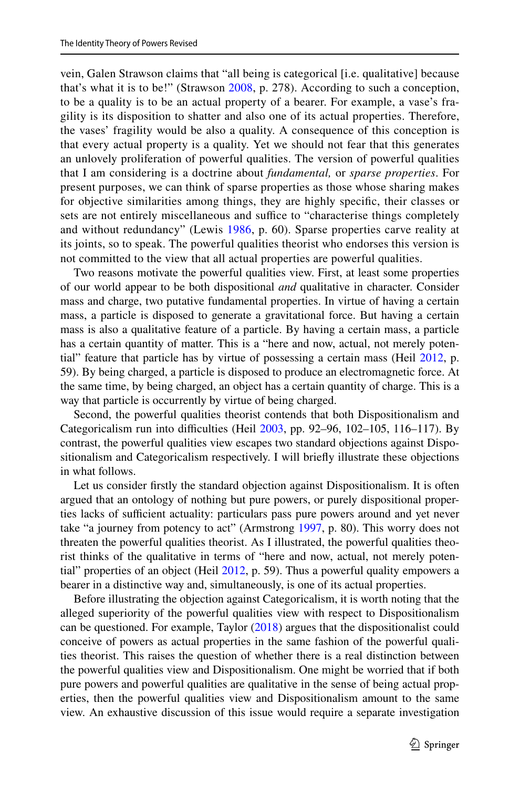vein, Galen Strawson claims that "all being is categorical [i.e. qualitative] because that's what it is to be!" (Strawson [2008,](#page-18-0) p. 278). According to such a conception, to be a quality is to be an actual property of a bearer. For example, a vase's fragility is its disposition to shatter and also one of its actual properties. Therefore, the vases' fragility would be also a quality. A consequence of this conception is that every actual property is a quality. Yet we should not fear that this generates an unlovely proliferation of powerful qualities. The version of powerful qualities that I am considering is a doctrine about *fundamental,* or *sparse properties*. For present purposes, we can think of sparse properties as those whose sharing makes for objective similarities among things, they are highly specifc, their classes or sets are not entirely miscellaneous and suffice to "characterise things completely and without redundancy" (Lewis [1986,](#page-18-4) p. 60). Sparse properties carve reality at its joints, so to speak. The powerful qualities theorist who endorses this version is not committed to the view that all actual properties are powerful qualities.

Two reasons motivate the powerful qualities view. First, at least some properties of our world appear to be both dispositional *and* qualitative in character. Consider mass and charge, two putative fundamental properties. In virtue of having a certain mass, a particle is disposed to generate a gravitational force. But having a certain mass is also a qualitative feature of a particle. By having a certain mass, a particle has a certain quantity of matter. This is a "here and now, actual, not merely potential" feature that particle has by virtue of possessing a certain mass (Heil [2012,](#page-18-2) p. 59). By being charged, a particle is disposed to produce an electromagnetic force. At the same time, by being charged, an object has a certain quantity of charge. This is a way that particle is occurrently by virtue of being charged.

Second, the powerful qualities theorist contends that both Dispositionalism and Categoricalism run into difficulties (Heil [2003,](#page-18-11) pp. 92–96, 102–105, 116–117). By contrast, the powerful qualities view escapes two standard objections against Dispositionalism and Categoricalism respectively. I will briefy illustrate these objections in what follows.

Let us consider frstly the standard objection against Dispositionalism. It is often argued that an ontology of nothing but pure powers, or purely dispositional properties lacks of sufficient actuality: particulars pass pure powers around and yet never take "a journey from potency to act" (Armstrong [1997](#page-17-1), p. 80). This worry does not threaten the powerful qualities theorist. As I illustrated, the powerful qualities theorist thinks of the qualitative in terms of "here and now, actual, not merely potential" properties of an object (Heil [2012,](#page-18-2) p. 59). Thus a powerful quality empowers a bearer in a distinctive way and, simultaneously, is one of its actual properties.

Before illustrating the objection against Categoricalism, it is worth noting that the alleged superiority of the powerful qualities view with respect to Dispositionalism can be questioned. For example, Taylor [\(2018](#page-18-12)) argues that the dispositionalist could conceive of powers as actual properties in the same fashion of the powerful qualities theorist. This raises the question of whether there is a real distinction between the powerful qualities view and Dispositionalism. One might be worried that if both pure powers and powerful qualities are qualitative in the sense of being actual properties, then the powerful qualities view and Dispositionalism amount to the same view. An exhaustive discussion of this issue would require a separate investigation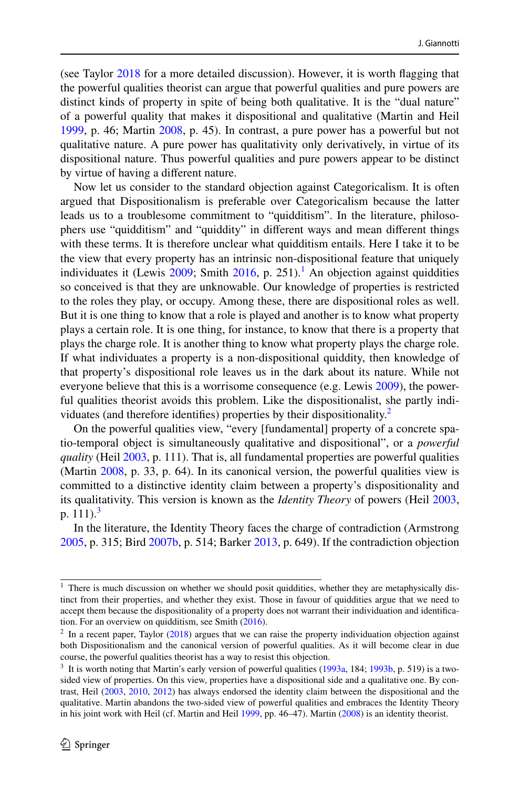(see Taylor [2018](#page-18-12) for a more detailed discussion). However, it is worth fagging that the powerful qualities theorist can argue that powerful qualities and pure powers are distinct kinds of property in spite of being both qualitative. It is the "dual nature" of a powerful quality that makes it dispositional and qualitative (Martin and Heil [1999](#page-18-13), p. 46; Martin [2008](#page-18-10), p. 45). In contrast, a pure power has a powerful but not qualitative nature. A pure power has qualitativity only derivatively, in virtue of its dispositional nature. Thus powerful qualities and pure powers appear to be distinct by virtue of having a diferent nature.

Now let us consider to the standard objection against Categoricalism. It is often argued that Dispositionalism is preferable over Categoricalism because the latter leads us to a troublesome commitment to "quidditism". In the literature, philosophers use "quidditism" and "quiddity" in diferent ways and mean diferent things with these terms. It is therefore unclear what quidditism entails. Here I take it to be the view that every property has an intrinsic non-dispositional feature that uniquely individuates it (Lewis  $2009$ ; Smith  $2016$  $2016$  $2016$ , p. 251).<sup>1</sup> An objection against quiddities so conceived is that they are unknowable. Our knowledge of properties is restricted to the roles they play, or occupy. Among these, there are dispositional roles as well. But it is one thing to know that a role is played and another is to know what property plays a certain role. It is one thing, for instance, to know that there is a property that plays the charge role. It is another thing to know what property plays the charge role. If what individuates a property is a non-dispositional quiddity, then knowledge of that property's dispositional role leaves us in the dark about its nature. While not everyone believe that this is a worrisome consequence (e.g. Lewis [2009\)](#page-18-14), the powerful qualities theorist avoids this problem. Like the dispositionalist, she partly indi-viduates (and therefore identifies) properties by their dispositionality.<sup>[2](#page-3-1)</sup>

On the powerful qualities view, "every [fundamental] property of a concrete spatio-temporal object is simultaneously qualitative and dispositional", or a *powerful quality* (Heil [2003](#page-18-11), p. 111). That is, all fundamental properties are powerful qualities (Martin [2008](#page-18-10), p. 33, p. 64). In its canonical version, the powerful qualities view is committed to a distinctive identity claim between a property's dispositionality and its qualitativity. This version is known as the *Identity Theory* of powers (Heil [2003,](#page-18-11) p.  $111$ ).<sup>[3](#page-3-2)</sup>

In the literature, the Identity Theory faces the charge of contradiction (Armstrong [2005](#page-17-3), p. 315; Bird [2007b,](#page-17-2) p. 514; Barker [2013,](#page-17-4) p. 649). If the contradiction objection

<span id="page-3-0"></span><sup>&</sup>lt;sup>1</sup> There is much discussion on whether we should posit quiddities, whether they are metaphysically distinct from their properties, and whether they exist. Those in favour of quiddities argue that we need to accept them because the dispositionality of a property does not warrant their individuation and identifcation. For an overview on quidditism, see Smith ([2016\)](#page-18-15).

<span id="page-3-1"></span> $2 \text{ In a recent paper, Taylor (2018) argues that we can raise the property individual to the object of the paper.}$  $2 \text{ In a recent paper, Taylor (2018) argues that we can raise the property individual to the object of the paper.}$  $2 \text{ In a recent paper, Taylor (2018) argues that we can raise the property individual to the object of the paper.}$ both Dispositionalism and the canonical version of powerful qualities. As it will become clear in due course, the powerful qualities theorist has a way to resist this objection.

<span id="page-3-2"></span><sup>&</sup>lt;sup>3</sup> It is worth noting that Martin's early version of powerful qualities [\(1993a](#page-18-9), 184; [1993b](#page-18-16), p. 519) is a twosided view of properties. On this view, properties have a dispositional side and a qualitative one. By contrast, Heil [\(2003](#page-18-11), [2010,](#page-18-1) [2012](#page-18-2)) has always endorsed the identity claim between the dispositional and the qualitative. Martin abandons the two-sided view of powerful qualities and embraces the Identity Theory in his joint work with Heil (cf. Martin and Heil [1999,](#page-18-13) pp. 46–47). Martin ([2008\)](#page-18-10) is an identity theorist.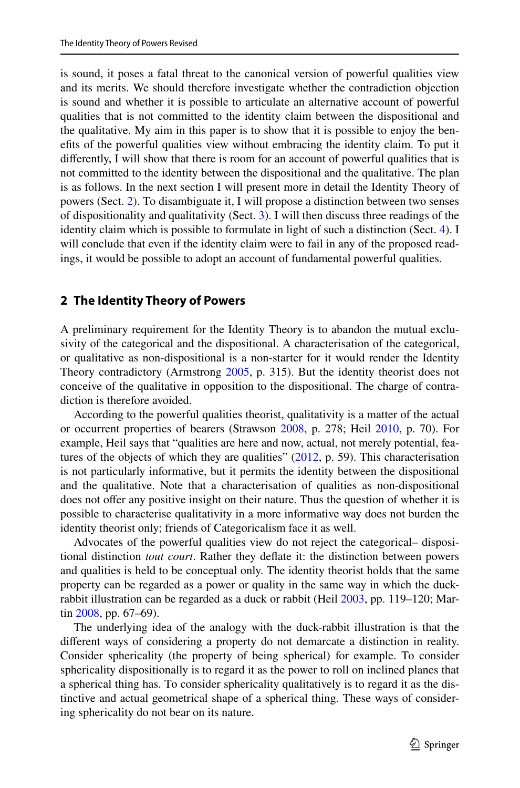is sound, it poses a fatal threat to the canonical version of powerful qualities view and its merits. We should therefore investigate whether the contradiction objection is sound and whether it is possible to articulate an alternative account of powerful qualities that is not committed to the identity claim between the dispositional and the qualitative. My aim in this paper is to show that it is possible to enjoy the benefts of the powerful qualities view without embracing the identity claim. To put it diferently, I will show that there is room for an account of powerful qualities that is not committed to the identity between the dispositional and the qualitative. The plan is as follows. In the next section I will present more in detail the Identity Theory of powers (Sect. [2\)](#page-4-0). To disambiguate it, I will propose a distinction between two senses of dispositionality and qualitativity (Sect. [3\)](#page-7-0). I will then discuss three readings of the identity claim which is possible to formulate in light of such a distinction (Sect. [4\)](#page-13-0). I will conclude that even if the identity claim were to fail in any of the proposed readings, it would be possible to adopt an account of fundamental powerful qualities.

### <span id="page-4-0"></span>**2 The Identity Theory of Powers**

A preliminary requirement for the Identity Theory is to abandon the mutual exclusivity of the categorical and the dispositional. A characterisation of the categorical, or qualitative as non-dispositional is a non-starter for it would render the Identity Theory contradictory (Armstrong [2005,](#page-17-3) p. 315). But the identity theorist does not conceive of the qualitative in opposition to the dispositional. The charge of contradiction is therefore avoided.

According to the powerful qualities theorist, qualitativity is a matter of the actual or occurrent properties of bearers (Strawson [2008](#page-18-0), p. 278; Heil [2010](#page-18-1), p. 70). For example, Heil says that "qualities are here and now, actual, not merely potential, features of the objects of which they are qualities" ([2012,](#page-18-2) p. 59). This characterisation is not particularly informative, but it permits the identity between the dispositional and the qualitative. Note that a characterisation of qualities as non-dispositional does not offer any positive insight on their nature. Thus the question of whether it is possible to characterise qualitativity in a more informative way does not burden the identity theorist only; friends of Categoricalism face it as well.

Advocates of the powerful qualities view do not reject the categorical– dispositional distinction *tout court*. Rather they defate it: the distinction between powers and qualities is held to be conceptual only. The identity theorist holds that the same property can be regarded as a power or quality in the same way in which the duckrabbit illustration can be regarded as a duck or rabbit (Heil [2003](#page-18-11), pp. 119–120; Martin [2008](#page-18-10), pp. 67–69).

The underlying idea of the analogy with the duck-rabbit illustration is that the diferent ways of considering a property do not demarcate a distinction in reality. Consider sphericality (the property of being spherical) for example. To consider sphericality dispositionally is to regard it as the power to roll on inclined planes that a spherical thing has. To consider sphericality qualitatively is to regard it as the distinctive and actual geometrical shape of a spherical thing. These ways of considering sphericality do not bear on its nature.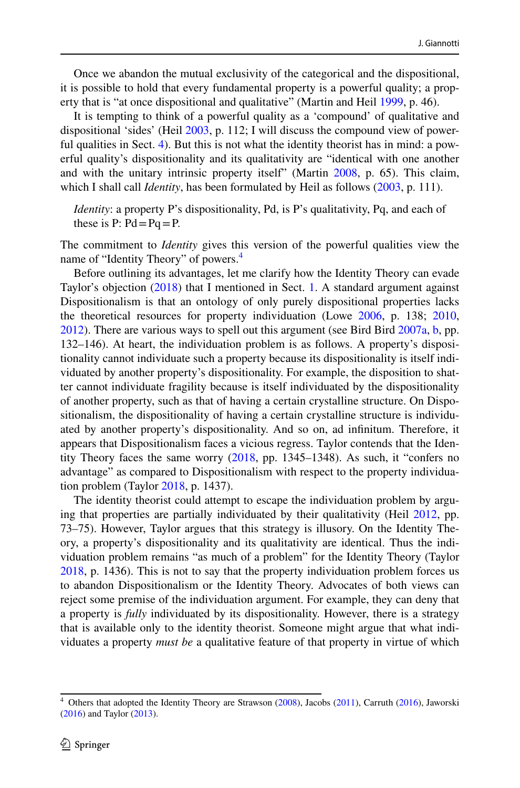Once we abandon the mutual exclusivity of the categorical and the dispositional, it is possible to hold that every fundamental property is a powerful quality; a prop-erty that is "at once dispositional and qualitative" (Martin and Heil [1999,](#page-18-13) p. 46).

It is tempting to think of a powerful quality as a 'compound' of qualitative and dispositional 'sides' (Heil [2003,](#page-18-11) p. 112; I will discuss the compound view of powerful qualities in Sect. [4\)](#page-13-0). But this is not what the identity theorist has in mind: a powerful quality's dispositionality and its qualitativity are "identical with one another and with the unitary intrinsic property itself" (Martin [2008](#page-18-10), p. 65). This claim, which I shall call *Identity*, has been formulated by Heil as follows ([2003,](#page-18-11) p. 111).

*Identity*: a property P's dispositionality, Pd, is P's qualitativity, Pq, and each of these is  $P: Pd = Pq = P$ .

The commitment to *Identity* gives this version of the powerful qualities view the name of "Identity Theory" of powers.<sup>[4](#page-5-0)</sup>

Before outlining its advantages, let me clarify how the Identity Theory can evade Taylor's objection [\(2018](#page-18-12)) that I mentioned in Sect. [1](#page-0-0). A standard argument against Dispositionalism is that an ontology of only purely dispositional properties lacks the theoretical resources for property individuation (Lowe [2006,](#page-18-17) p. 138; [2010,](#page-18-18) [2012](#page-18-19)). There are various ways to spell out this argument (see Bird Bird [2007a,](#page-17-0) [b,](#page-17-2) pp. 132–146). At heart, the individuation problem is as follows. A property's dispositionality cannot individuate such a property because its dispositionality is itself individuated by another property's dispositionality. For example, the disposition to shatter cannot individuate fragility because is itself individuated by the dispositionality of another property, such as that of having a certain crystalline structure. On Dispositionalism, the dispositionality of having a certain crystalline structure is individuated by another property's dispositionality. And so on, ad infnitum. Therefore, it appears that Dispositionalism faces a vicious regress. Taylor contends that the Identity Theory faces the same worry ([2018,](#page-18-12) pp. 1345–1348). As such, it "confers no advantage" as compared to Dispositionalism with respect to the property individuation problem (Taylor [2018,](#page-18-12) p. 1437).

The identity theorist could attempt to escape the individuation problem by arguing that properties are partially individuated by their qualitativity (Heil [2012,](#page-18-2) pp. 73–75). However, Taylor argues that this strategy is illusory. On the Identity Theory, a property's dispositionality and its qualitativity are identical. Thus the individuation problem remains "as much of a problem" for the Identity Theory (Taylor [2018](#page-18-12), p. 1436). This is not to say that the property individuation problem forces us to abandon Dispositionalism or the Identity Theory. Advocates of both views can reject some premise of the individuation argument. For example, they can deny that a property is *fully* individuated by its dispositionality. However, there is a strategy that is available only to the identity theorist. Someone might argue that what individuates a property *must be* a qualitative feature of that property in virtue of which

<span id="page-5-0"></span><sup>&</sup>lt;sup>4</sup> Others that adopted the Identity Theory are Strawson [\(2008](#page-18-0)), Jacobs [\(2011](#page-18-20)), Carruth [\(2016](#page-18-21)), Jaworski ([2016\)](#page-18-22) and Taylor [\(2013](#page-18-23)).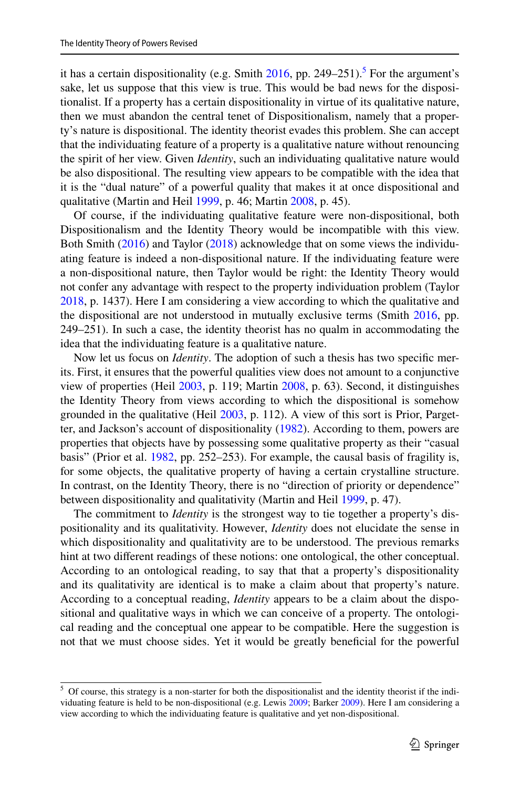it has a certain dispositionality (e.g. Smith  $2016$ , pp. 249–2[5](#page-6-0)1).<sup>5</sup> For the argument's sake, let us suppose that this view is true. This would be bad news for the dispositionalist. If a property has a certain dispositionality in virtue of its qualitative nature, then we must abandon the central tenet of Dispositionalism, namely that a property's nature is dispositional. The identity theorist evades this problem. She can accept that the individuating feature of a property is a qualitative nature without renouncing the spirit of her view. Given *Identity*, such an individuating qualitative nature would be also dispositional. The resulting view appears to be compatible with the idea that it is the "dual nature" of a powerful quality that makes it at once dispositional and qualitative (Martin and Heil [1999](#page-18-13), p. 46; Martin [2008,](#page-18-10) p. 45).

Of course, if the individuating qualitative feature were non-dispositional, both Dispositionalism and the Identity Theory would be incompatible with this view. Both Smith ([2016\)](#page-18-15) and Taylor [\(2018](#page-18-12)) acknowledge that on some views the individuating feature is indeed a non-dispositional nature. If the individuating feature were a non-dispositional nature, then Taylor would be right: the Identity Theory would not confer any advantage with respect to the property individuation problem (Taylor [2018](#page-18-12), p. 1437). Here I am considering a view according to which the qualitative and the dispositional are not understood in mutually exclusive terms (Smith [2016,](#page-18-15) pp. 249–251). In such a case, the identity theorist has no qualm in accommodating the idea that the individuating feature is a qualitative nature.

Now let us focus on *Identity*. The adoption of such a thesis has two specifc merits. First, it ensures that the powerful qualities view does not amount to a conjunctive view of properties (Heil [2003](#page-18-11), p. 119; Martin [2008](#page-18-10), p. 63). Second, it distinguishes the Identity Theory from views according to which the dispositional is somehow grounded in the qualitative (Heil [2003](#page-18-11), p. 112). A view of this sort is Prior, Pargetter, and Jackson's account of dispositionality [\(1982](#page-18-24)). According to them, powers are properties that objects have by possessing some qualitative property as their "casual basis" (Prior et al. [1982](#page-18-24), pp. 252–253). For example, the causal basis of fragility is, for some objects, the qualitative property of having a certain crystalline structure. In contrast, on the Identity Theory, there is no "direction of priority or dependence" between dispositionality and qualitativity (Martin and Heil [1999](#page-18-13), p. 47).

The commitment to *Identity* is the strongest way to tie together a property's dispositionality and its qualitativity. However, *Identity* does not elucidate the sense in which dispositionality and qualitativity are to be understood. The previous remarks hint at two diferent readings of these notions: one ontological, the other conceptual. According to an ontological reading, to say that that a property's dispositionality and its qualitativity are identical is to make a claim about that property's nature. According to a conceptual reading, *Identity* appears to be a claim about the dispositional and qualitative ways in which we can conceive of a property. The ontological reading and the conceptual one appear to be compatible. Here the suggestion is not that we must choose sides. Yet it would be greatly benefcial for the powerful

<span id="page-6-0"></span><sup>5</sup> Of course, this strategy is a non-starter for both the dispositionalist and the identity theorist if the individuating feature is held to be non-dispositional (e.g. Lewis [2009](#page-18-14); Barker [2009](#page-17-5)). Here I am considering a view according to which the individuating feature is qualitative and yet non-dispositional.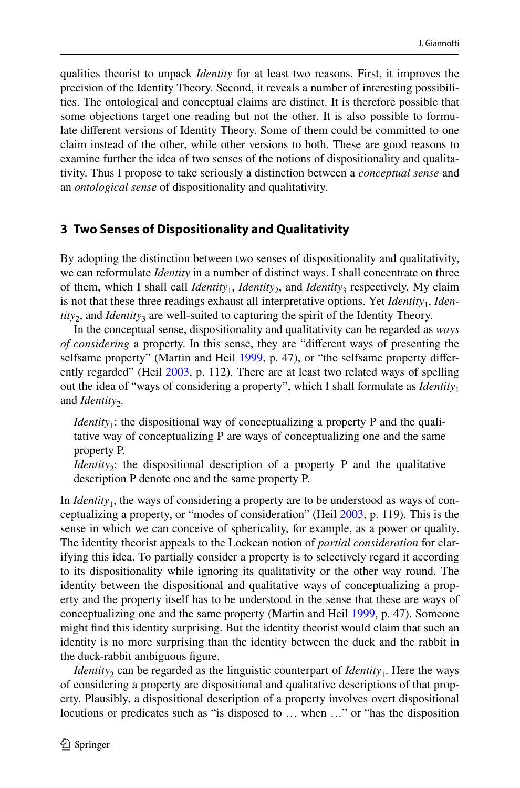qualities theorist to unpack *Identity* for at least two reasons. First, it improves the precision of the Identity Theory. Second, it reveals a number of interesting possibilities. The ontological and conceptual claims are distinct. It is therefore possible that some objections target one reading but not the other. It is also possible to formulate diferent versions of Identity Theory. Some of them could be committed to one claim instead of the other, while other versions to both. These are good reasons to examine further the idea of two senses of the notions of dispositionality and qualitativity. Thus I propose to take seriously a distinction between a *conceptual sense* and an *ontological sense* of dispositionality and qualitativity.

# <span id="page-7-0"></span>**3 Two Senses of Dispositionality and Qualitativity**

By adopting the distinction between two senses of dispositionality and qualitativity, we can reformulate *Identity* in a number of distinct ways. I shall concentrate on three of them, which I shall call *Identity*<sub>1</sub>, *Identity*<sub>2</sub>, and *Identity*<sub>3</sub> respectively. My claim is not that these three readings exhaust all interpretative options. Yet *Identity<sub>1</sub>*, *Iden* $tity<sub>2</sub>$ , and *Identity*<sub>3</sub> are well-suited to capturing the spirit of the Identity Theory.

In the conceptual sense, dispositionality and qualitativity can be regarded as *ways of considering* a property. In this sense, they are "diferent ways of presenting the selfsame property" (Martin and Heil [1999](#page-18-13), p. 47), or "the selfsame property differently regarded" (Heil [2003](#page-18-11), p. 112). There are at least two related ways of spelling out the idea of "ways of considering a property", which I shall formulate as *Identity*<sup>1</sup> and *Identity*<sub>2</sub>.

*Identity*<sub>1</sub>: the dispositional way of conceptualizing a property P and the qualitative way of conceptualizing P are ways of conceptualizing one and the same property P.

*Identity*<sub>2</sub>: the dispositional description of a property P and the qualitative description P denote one and the same property P.

In *Identity*1, the ways of considering a property are to be understood as ways of conceptualizing a property, or "modes of consideration" (Heil [2003,](#page-18-11) p. 119). This is the sense in which we can conceive of sphericality, for example, as a power or quality. The identity theorist appeals to the Lockean notion of *partial consideration* for clarifying this idea. To partially consider a property is to selectively regard it according to its dispositionality while ignoring its qualitativity or the other way round. The identity between the dispositional and qualitative ways of conceptualizing a property and the property itself has to be understood in the sense that these are ways of conceptualizing one and the same property (Martin and Heil [1999](#page-18-13), p. 47). Someone might fnd this identity surprising. But the identity theorist would claim that such an identity is no more surprising than the identity between the duck and the rabbit in the duck-rabbit ambiguous fgure.

*Identity*<sub>2</sub> can be regarded as the linguistic counterpart of *Identity*<sub>1</sub>. Here the ways of considering a property are dispositional and qualitative descriptions of that property. Plausibly, a dispositional description of a property involves overt dispositional locutions or predicates such as "is disposed to … when …" or "has the disposition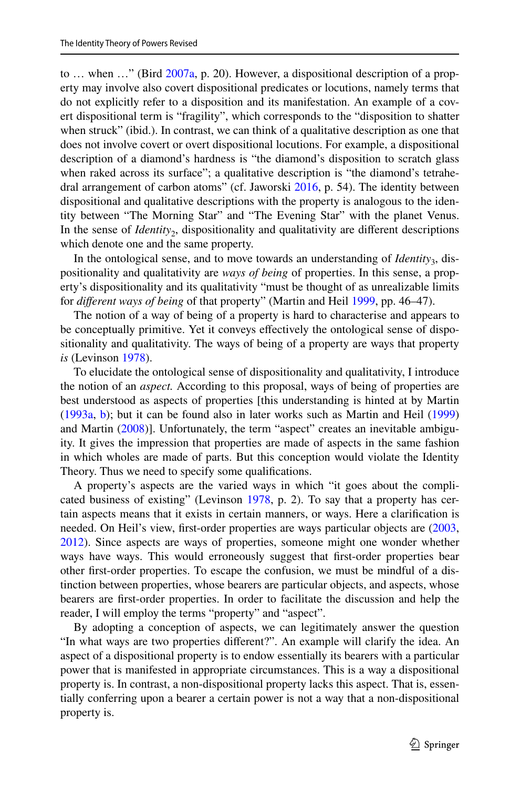to … when …" (Bird [2007a,](#page-17-0) p. 20). However, a dispositional description of a property may involve also covert dispositional predicates or locutions, namely terms that do not explicitly refer to a disposition and its manifestation. An example of a covert dispositional term is "fragility", which corresponds to the "disposition to shatter when struck" (ibid.). In contrast, we can think of a qualitative description as one that does not involve covert or overt dispositional locutions. For example, a dispositional description of a diamond's hardness is "the diamond's disposition to scratch glass when raked across its surface"; a qualitative description is "the diamond's tetrahe-dral arrangement of carbon atoms" (cf. Jaworski [2016,](#page-18-22) p. 54). The identity between dispositional and qualitative descriptions with the property is analogous to the identity between "The Morning Star" and "The Evening Star" with the planet Venus. In the sense of *Identity*<sub>2</sub>, dispositionality and qualitativity are different descriptions which denote one and the same property.

In the ontological sense, and to move towards an understanding of *Identity*<sub>3</sub>, dispositionality and qualitativity are *ways of being* of properties. In this sense, a property's dispositionality and its qualitativity "must be thought of as unrealizable limits for *diferent ways of being* of that property" (Martin and Heil [1999](#page-18-13), pp. 46–47).

The notion of a way of being of a property is hard to characterise and appears to be conceptually primitive. Yet it conveys efectively the ontological sense of dispositionality and qualitativity. The ways of being of a property are ways that property *is* (Levinson [1978](#page-18-25)).

To elucidate the ontological sense of dispositionality and qualitativity, I introduce the notion of an *aspect.* According to this proposal, ways of being of properties are best understood as aspects of properties [this understanding is hinted at by Martin [\(1993a,](#page-18-9) [b\)](#page-18-16); but it can be found also in later works such as Martin and Heil ([1999\)](#page-18-13) and Martin [\(2008](#page-18-10))]. Unfortunately, the term "aspect" creates an inevitable ambiguity. It gives the impression that properties are made of aspects in the same fashion in which wholes are made of parts. But this conception would violate the Identity Theory. Thus we need to specify some qualifcations.

A property's aspects are the varied ways in which "it goes about the complicated business of existing" (Levinson [1978,](#page-18-25) p. 2). To say that a property has certain aspects means that it exists in certain manners, or ways. Here a clarifcation is needed. On Heil's view, frst-order properties are ways particular objects are ([2003,](#page-18-11) [2012](#page-18-2)). Since aspects are ways of properties, someone might one wonder whether ways have ways. This would erroneously suggest that frst-order properties bear other frst-order properties. To escape the confusion, we must be mindful of a distinction between properties, whose bearers are particular objects, and aspects, whose bearers are frst-order properties. In order to facilitate the discussion and help the reader, I will employ the terms "property" and "aspect".

By adopting a conception of aspects, we can legitimately answer the question "In what ways are two properties diferent?". An example will clarify the idea. An aspect of a dispositional property is to endow essentially its bearers with a particular power that is manifested in appropriate circumstances. This is a way a dispositional property is. In contrast, a non-dispositional property lacks this aspect. That is, essentially conferring upon a bearer a certain power is not a way that a non-dispositional property is.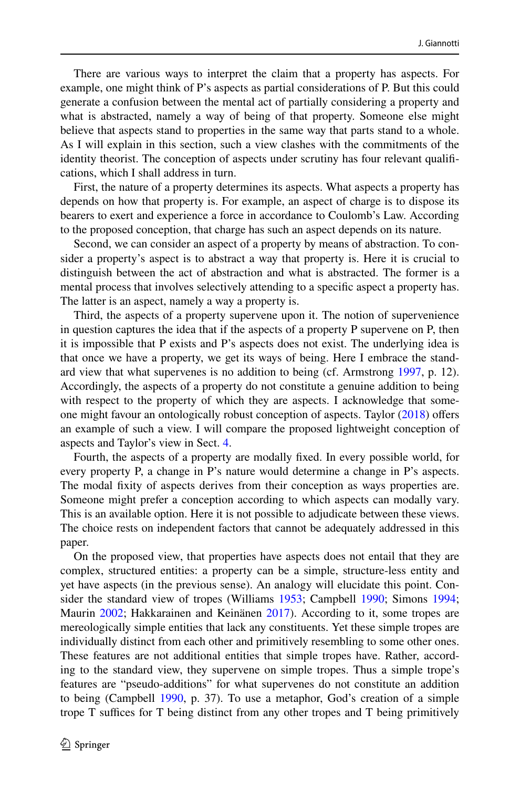There are various ways to interpret the claim that a property has aspects. For example, one might think of P's aspects as partial considerations of P. But this could generate a confusion between the mental act of partially considering a property and what is abstracted, namely a way of being of that property. Someone else might believe that aspects stand to properties in the same way that parts stand to a whole. As I will explain in this section, such a view clashes with the commitments of the identity theorist. The conception of aspects under scrutiny has four relevant qualifcations, which I shall address in turn.

First, the nature of a property determines its aspects. What aspects a property has depends on how that property is. For example, an aspect of charge is to dispose its bearers to exert and experience a force in accordance to Coulomb's Law. According to the proposed conception, that charge has such an aspect depends on its nature.

Second, we can consider an aspect of a property by means of abstraction. To consider a property's aspect is to abstract a way that property is. Here it is crucial to distinguish between the act of abstraction and what is abstracted. The former is a mental process that involves selectively attending to a specifc aspect a property has. The latter is an aspect, namely a way a property is.

Third, the aspects of a property supervene upon it. The notion of supervenience in question captures the idea that if the aspects of a property P supervene on P, then it is impossible that P exists and P's aspects does not exist. The underlying idea is that once we have a property, we get its ways of being. Here I embrace the standard view that what supervenes is no addition to being (cf. Armstrong [1997](#page-17-1), p. 12). Accordingly, the aspects of a property do not constitute a genuine addition to being with respect to the property of which they are aspects. I acknowledge that someone might favour an ontologically robust conception of aspects. Taylor ([2018\)](#page-18-12) ofers an example of such a view. I will compare the proposed lightweight conception of aspects and Taylor's view in Sect. [4](#page-13-0).

Fourth, the aspects of a property are modally fxed. In every possible world, for every property P, a change in P's nature would determine a change in P's aspects. The modal fxity of aspects derives from their conception as ways properties are. Someone might prefer a conception according to which aspects can modally vary. This is an available option. Here it is not possible to adjudicate between these views. The choice rests on independent factors that cannot be adequately addressed in this paper.

On the proposed view, that properties have aspects does not entail that they are complex, structured entities: a property can be a simple, structure-less entity and yet have aspects (in the previous sense). An analogy will elucidate this point. Consider the standard view of tropes (Williams [1953;](#page-18-26) Campbell [1990](#page-17-6); Simons [1994;](#page-18-27) Maurin [2002](#page-18-28); Hakkarainen and Keinänen [2017](#page-18-29)). According to it, some tropes are mereologically simple entities that lack any constituents. Yet these simple tropes are individually distinct from each other and primitively resembling to some other ones. These features are not additional entities that simple tropes have. Rather, according to the standard view, they supervene on simple tropes. Thus a simple trope's features are "pseudo-additions" for what supervenes do not constitute an addition to being (Campbell [1990](#page-17-6), p. 37). To use a metaphor, God's creation of a simple trope  $T$  suffices for  $T$  being distinct from any other tropes and  $T$  being primitively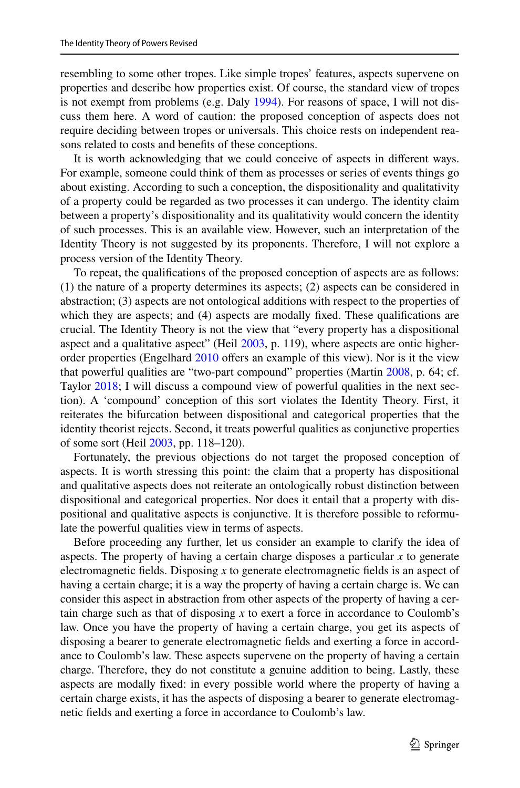resembling to some other tropes. Like simple tropes' features, aspects supervene on properties and describe how properties exist. Of course, the standard view of tropes is not exempt from problems (e.g. Daly [1994](#page-18-30)). For reasons of space, I will not discuss them here. A word of caution: the proposed conception of aspects does not require deciding between tropes or universals. This choice rests on independent reasons related to costs and benefts of these conceptions.

It is worth acknowledging that we could conceive of aspects in diferent ways. For example, someone could think of them as processes or series of events things go about existing. According to such a conception, the dispositionality and qualitativity of a property could be regarded as two processes it can undergo. The identity claim between a property's dispositionality and its qualitativity would concern the identity of such processes. This is an available view. However, such an interpretation of the Identity Theory is not suggested by its proponents. Therefore, I will not explore a process version of the Identity Theory.

To repeat, the qualifcations of the proposed conception of aspects are as follows: (1) the nature of a property determines its aspects; (2) aspects can be considered in abstraction; (3) aspects are not ontological additions with respect to the properties of which they are aspects; and (4) aspects are modally fixed. These qualifications are crucial. The Identity Theory is not the view that "every property has a dispositional aspect and a qualitative aspect" (Heil [2003,](#page-18-11) p. 119), where aspects are ontic higher-order properties (Engelhard [2010](#page-18-31) offers an example of this view). Nor is it the view that powerful qualities are "two-part compound" properties (Martin [2008,](#page-18-10) p. 64; cf. Taylor [2018;](#page-18-12) I will discuss a compound view of powerful qualities in the next section). A 'compound' conception of this sort violates the Identity Theory. First, it reiterates the bifurcation between dispositional and categorical properties that the identity theorist rejects. Second, it treats powerful qualities as conjunctive properties of some sort (Heil [2003](#page-18-11), pp. 118–120).

Fortunately, the previous objections do not target the proposed conception of aspects. It is worth stressing this point: the claim that a property has dispositional and qualitative aspects does not reiterate an ontologically robust distinction between dispositional and categorical properties. Nor does it entail that a property with dispositional and qualitative aspects is conjunctive. It is therefore possible to reformulate the powerful qualities view in terms of aspects.

Before proceeding any further, let us consider an example to clarify the idea of aspects. The property of having a certain charge disposes a particular *x* to generate electromagnetic felds. Disposing *x* to generate electromagnetic felds is an aspect of having a certain charge; it is a way the property of having a certain charge is. We can consider this aspect in abstraction from other aspects of the property of having a certain charge such as that of disposing *x* to exert a force in accordance to Coulomb's law. Once you have the property of having a certain charge, you get its aspects of disposing a bearer to generate electromagnetic felds and exerting a force in accordance to Coulomb's law. These aspects supervene on the property of having a certain charge. Therefore, they do not constitute a genuine addition to being. Lastly, these aspects are modally fxed: in every possible world where the property of having a certain charge exists, it has the aspects of disposing a bearer to generate electromagnetic felds and exerting a force in accordance to Coulomb's law.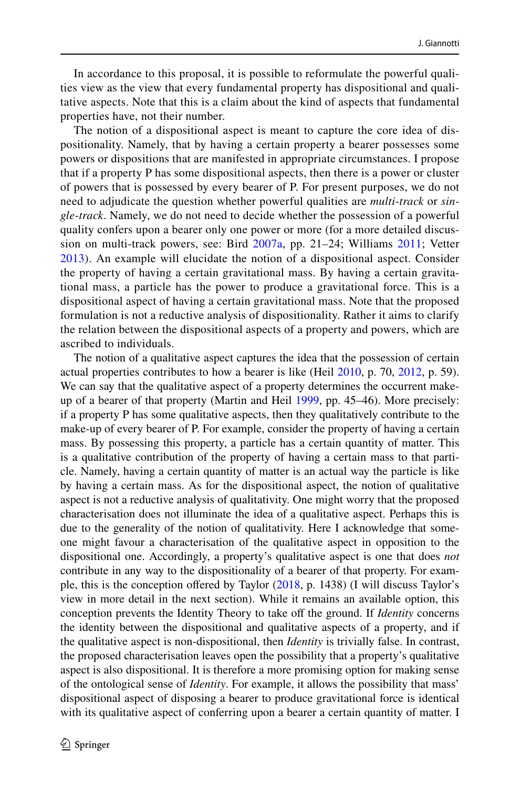In accordance to this proposal, it is possible to reformulate the powerful qualities view as the view that every fundamental property has dispositional and qualitative aspects. Note that this is a claim about the kind of aspects that fundamental properties have, not their number.

The notion of a dispositional aspect is meant to capture the core idea of dispositionality. Namely, that by having a certain property a bearer possesses some powers or dispositions that are manifested in appropriate circumstances. I propose that if a property P has some dispositional aspects, then there is a power or cluster of powers that is possessed by every bearer of P. For present purposes, we do not need to adjudicate the question whether powerful qualities are *multi*-*track* or *single*-*track*. Namely, we do not need to decide whether the possession of a powerful quality confers upon a bearer only one power or more (for a more detailed discussion on multi-track powers, see: Bird [2007a,](#page-17-0) pp. 21–24; Williams [2011;](#page-18-32) Vetter [2013\)](#page-18-33). An example will elucidate the notion of a dispositional aspect. Consider the property of having a certain gravitational mass. By having a certain gravitational mass, a particle has the power to produce a gravitational force. This is a dispositional aspect of having a certain gravitational mass. Note that the proposed formulation is not a reductive analysis of dispositionality. Rather it aims to clarify the relation between the dispositional aspects of a property and powers, which are ascribed to individuals.

The notion of a qualitative aspect captures the idea that the possession of certain actual properties contributes to how a bearer is like (Heil [2010](#page-18-1), p. 70, [2012,](#page-18-2) p. 59). We can say that the qualitative aspect of a property determines the occurrent makeup of a bearer of that property (Martin and Heil [1999,](#page-18-13) pp. 45–46). More precisely: if a property P has some qualitative aspects, then they qualitatively contribute to the make-up of every bearer of P. For example, consider the property of having a certain mass. By possessing this property, a particle has a certain quantity of matter. This is a qualitative contribution of the property of having a certain mass to that particle. Namely, having a certain quantity of matter is an actual way the particle is like by having a certain mass. As for the dispositional aspect, the notion of qualitative aspect is not a reductive analysis of qualitativity. One might worry that the proposed characterisation does not illuminate the idea of a qualitative aspect. Perhaps this is due to the generality of the notion of qualitativity. Here I acknowledge that someone might favour a characterisation of the qualitative aspect in opposition to the dispositional one. Accordingly, a property's qualitative aspect is one that does *not* contribute in any way to the dispositionality of a bearer of that property. For example, this is the conception offered by Taylor  $(2018, p. 1438)$  $(2018, p. 1438)$  $(2018, p. 1438)$  (I will discuss Taylor's view in more detail in the next section). While it remains an available option, this conception prevents the Identity Theory to take off the ground. If *Identity* concerns the identity between the dispositional and qualitative aspects of a property, and if the qualitative aspect is non-dispositional, then *Identity* is trivially false. In contrast, the proposed characterisation leaves open the possibility that a property's qualitative aspect is also dispositional. It is therefore a more promising option for making sense of the ontological sense of *Identity*. For example, it allows the possibility that mass' dispositional aspect of disposing a bearer to produce gravitational force is identical with its qualitative aspect of conferring upon a bearer a certain quantity of matter. I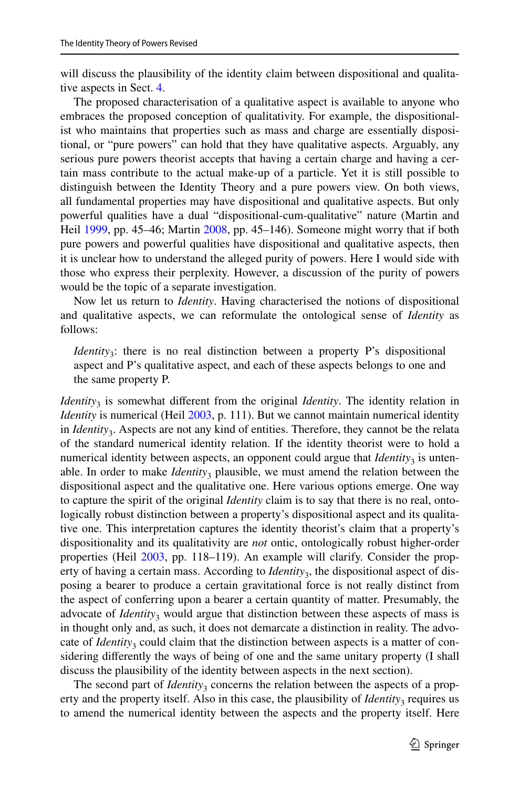will discuss the plausibility of the identity claim between dispositional and qualitative aspects in Sect. [4](#page-13-0).

The proposed characterisation of a qualitative aspect is available to anyone who embraces the proposed conception of qualitativity. For example, the dispositionalist who maintains that properties such as mass and charge are essentially dispositional, or "pure powers" can hold that they have qualitative aspects. Arguably, any serious pure powers theorist accepts that having a certain charge and having a certain mass contribute to the actual make-up of a particle. Yet it is still possible to distinguish between the Identity Theory and a pure powers view. On both views, all fundamental properties may have dispositional and qualitative aspects. But only powerful qualities have a dual "dispositional-cum-qualitative" nature (Martin and Heil [1999,](#page-18-13) pp. 45–46; Martin [2008](#page-18-10), pp. 45–146). Someone might worry that if both pure powers and powerful qualities have dispositional and qualitative aspects, then it is unclear how to understand the alleged purity of powers. Here I would side with those who express their perplexity. However, a discussion of the purity of powers would be the topic of a separate investigation.

Now let us return to *Identity*. Having characterised the notions of dispositional and qualitative aspects, we can reformulate the ontological sense of *Identity* as follows:

*Identity*<sub>3</sub>: there is no real distinction between a property P's dispositional aspect and P's qualitative aspect, and each of these aspects belongs to one and the same property P.

*Identity*<sub>3</sub> is somewhat different from the original *Identity*. The identity relation in *Identity* is numerical (Heil [2003](#page-18-11), p. 111). But we cannot maintain numerical identity in *Identity*<sub>3</sub>. Aspects are not any kind of entities. Therefore, they cannot be the relata of the standard numerical identity relation. If the identity theorist were to hold a numerical identity between aspects, an opponent could argue that *Identity*<sub>3</sub> is untenable. In order to make *Identity*<sub>3</sub> plausible, we must amend the relation between the dispositional aspect and the qualitative one. Here various options emerge. One way to capture the spirit of the original *Identity* claim is to say that there is no real, ontologically robust distinction between a property's dispositional aspect and its qualitative one. This interpretation captures the identity theorist's claim that a property's dispositionality and its qualitativity are *not* ontic, ontologically robust higher-order properties (Heil [2003](#page-18-11), pp. 118–119). An example will clarify. Consider the property of having a certain mass. According to *Identity*<sub>3</sub>, the dispositional aspect of disposing a bearer to produce a certain gravitational force is not really distinct from the aspect of conferring upon a bearer a certain quantity of matter. Presumably, the advocate of *Identity*<sub>3</sub> would argue that distinction between these aspects of mass is in thought only and, as such, it does not demarcate a distinction in reality. The advocate of *Identity*<sub>3</sub> could claim that the distinction between aspects is a matter of considering diferently the ways of being of one and the same unitary property (I shall discuss the plausibility of the identity between aspects in the next section).

The second part of *Identity*<sub>3</sub> concerns the relation between the aspects of a property and the property itself. Also in this case, the plausibility of *Identity*<sub>3</sub> requires us to amend the numerical identity between the aspects and the property itself. Here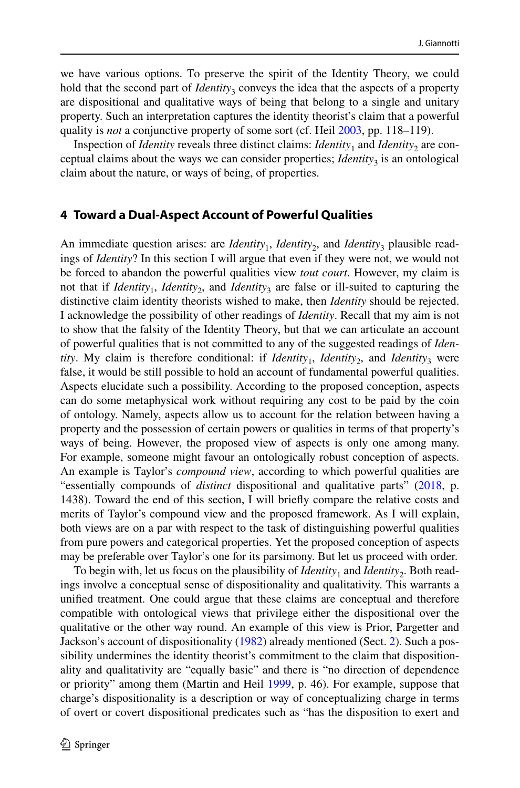we have various options. To preserve the spirit of the Identity Theory, we could hold that the second part of *Identity*<sub>3</sub> conveys the idea that the aspects of a property are dispositional and qualitative ways of being that belong to a single and unitary property. Such an interpretation captures the identity theorist's claim that a powerful quality is *not* a conjunctive property of some sort (cf. Heil [2003,](#page-18-11) pp. 118–119).

Inspection of *Identity* reveals three distinct claims: *Identity*<sub>1</sub> and *Identity*<sub>2</sub> are conceptual claims about the ways we can consider properties; *Identity*<sub>3</sub> is an ontological claim about the nature, or ways of being, of properties.

### <span id="page-13-0"></span>**4 Toward a Dual‑Aspect Account of Powerful Qualities**

An immediate question arises: are *Identity*<sub>1</sub>, *Identity*<sub>2</sub>, and *Identity*<sub>3</sub> plausible readings of *Identity*? In this section I will argue that even if they were not, we would not be forced to abandon the powerful qualities view *tout court*. However, my claim is not that if *Identity*<sub>1</sub>, *Identity*<sub>2</sub>, and *Identity*<sub>3</sub> are false or ill-suited to capturing the distinctive claim identity theorists wished to make, then *Identity* should be rejected. I acknowledge the possibility of other readings of *Identity*. Recall that my aim is not to show that the falsity of the Identity Theory, but that we can articulate an account of powerful qualities that is not committed to any of the suggested readings of *Identity*. My claim is therefore conditional: if *Identity*<sub>1</sub>, *Identity*<sub>2</sub>, and *Identity*<sub>3</sub> were false, it would be still possible to hold an account of fundamental powerful qualities. Aspects elucidate such a possibility. According to the proposed conception, aspects can do some metaphysical work without requiring any cost to be paid by the coin of ontology. Namely, aspects allow us to account for the relation between having a property and the possession of certain powers or qualities in terms of that property's ways of being. However, the proposed view of aspects is only one among many. For example, someone might favour an ontologically robust conception of aspects. An example is Taylor's *compound view*, according to which powerful qualities are "essentially compounds of *distinct* dispositional and qualitative parts" ([2018,](#page-18-12) p. 1438). Toward the end of this section, I will briefy compare the relative costs and merits of Taylor's compound view and the proposed framework. As I will explain, both views are on a par with respect to the task of distinguishing powerful qualities from pure powers and categorical properties. Yet the proposed conception of aspects may be preferable over Taylor's one for its parsimony. But let us proceed with order.

To begin with, let us focus on the plausibility of *Identity*<sub>1</sub> and *Identity*<sub>2</sub>. Both readings involve a conceptual sense of dispositionality and qualitativity. This warrants a unifed treatment. One could argue that these claims are conceptual and therefore compatible with ontological views that privilege either the dispositional over the qualitative or the other way round. An example of this view is Prior, Pargetter and Jackson's account of dispositionality [\(1982](#page-18-24)) already mentioned (Sect. [2](#page-4-0)). Such a possibility undermines the identity theorist's commitment to the claim that dispositionality and qualitativity are "equally basic" and there is "no direction of dependence or priority" among them (Martin and Heil [1999](#page-18-13), p. 46). For example, suppose that charge's dispositionality is a description or way of conceptualizing charge in terms of overt or covert dispositional predicates such as "has the disposition to exert and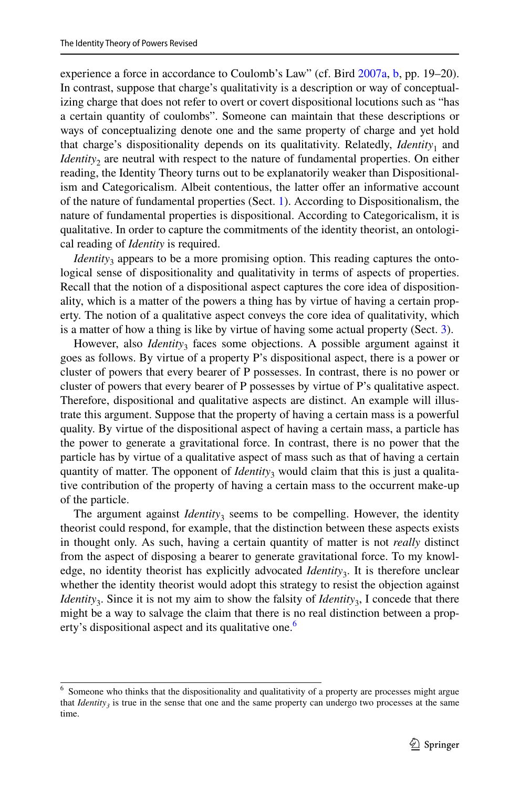experience a force in accordance to Coulomb's Law" (cf. Bird [2007a](#page-17-0), [b](#page-17-2), pp. 19–20). In contrast, suppose that charge's qualitativity is a description or way of conceptualizing charge that does not refer to overt or covert dispositional locutions such as "has a certain quantity of coulombs". Someone can maintain that these descriptions or ways of conceptualizing denote one and the same property of charge and yet hold that charge's dispositionality depends on its qualitativity. Relatedly, *Identity*<sub>1</sub> and *Identity*<sub>2</sub> are neutral with respect to the nature of fundamental properties. On either reading, the Identity Theory turns out to be explanatorily weaker than Dispositionalism and Categoricalism. Albeit contentious, the latter offer an informative account of the nature of fundamental properties (Sect. [1](#page-0-0)). According to Dispositionalism, the nature of fundamental properties is dispositional. According to Categoricalism, it is qualitative. In order to capture the commitments of the identity theorist, an ontological reading of *Identity* is required.

*Identity*<sub>3</sub> appears to be a more promising option. This reading captures the ontological sense of dispositionality and qualitativity in terms of aspects of properties. Recall that the notion of a dispositional aspect captures the core idea of dispositionality, which is a matter of the powers a thing has by virtue of having a certain property. The notion of a qualitative aspect conveys the core idea of qualitativity, which is a matter of how a thing is like by virtue of having some actual property (Sect. [3\)](#page-7-0).

However, also *Identity*<sub>3</sub> faces some objections. A possible argument against it goes as follows. By virtue of a property P's dispositional aspect, there is a power or cluster of powers that every bearer of P possesses. In contrast, there is no power or cluster of powers that every bearer of P possesses by virtue of P's qualitative aspect. Therefore, dispositional and qualitative aspects are distinct. An example will illustrate this argument. Suppose that the property of having a certain mass is a powerful quality. By virtue of the dispositional aspect of having a certain mass, a particle has the power to generate a gravitational force. In contrast, there is no power that the particle has by virtue of a qualitative aspect of mass such as that of having a certain quantity of matter. The opponent of *Identity*<sub>3</sub> would claim that this is just a qualitative contribution of the property of having a certain mass to the occurrent make-up of the particle.

The argument against *Identity*<sub>3</sub> seems to be compelling. However, the identity theorist could respond, for example, that the distinction between these aspects exists in thought only. As such, having a certain quantity of matter is not *really* distinct from the aspect of disposing a bearer to generate gravitational force. To my knowledge, no identity theorist has explicitly advocated *Identity*<sub>3</sub>. It is therefore unclear whether the identity theorist would adopt this strategy to resist the objection against *Identity*<sub>3</sub>. Since it is not my aim to show the falsity of *Identity*<sub>3</sub>, I concede that there might be a way to salvage the claim that there is no real distinction between a property's dispositional aspect and its qualitative one.<sup>6</sup>

<span id="page-14-0"></span><sup>&</sup>lt;sup>6</sup> Someone who thinks that the dispositionality and qualitativity of a property are processes might argue that *Identity<sub>3</sub>* is true in the sense that one and the same property can undergo two processes at the same time.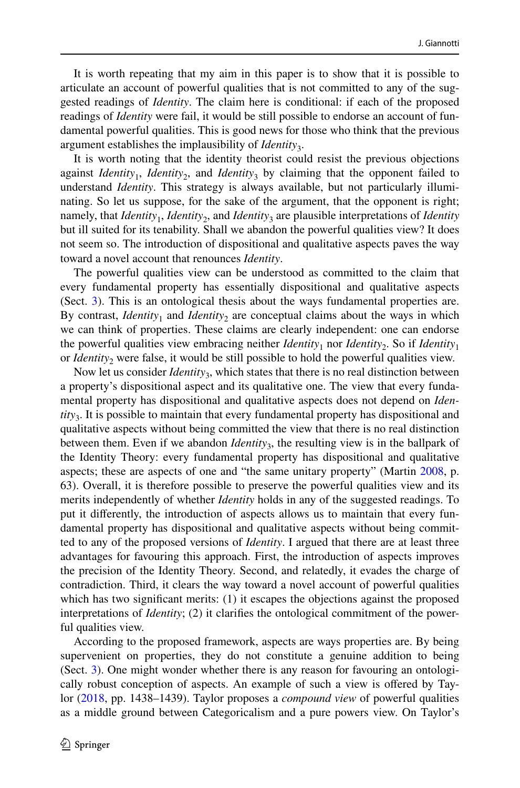It is worth repeating that my aim in this paper is to show that it is possible to articulate an account of powerful qualities that is not committed to any of the suggested readings of *Identity*. The claim here is conditional: if each of the proposed readings of *Identity* were fail, it would be still possible to endorse an account of fundamental powerful qualities. This is good news for those who think that the previous argument establishes the implausibility of *Identity*<sub>3</sub>.

It is worth noting that the identity theorist could resist the previous objections against *Identity*<sub>1</sub>, *Identity*<sub>2</sub>, and *Identity*<sub>3</sub> by claiming that the opponent failed to understand *Identity*. This strategy is always available, but not particularly illuminating. So let us suppose, for the sake of the argument, that the opponent is right; namely, that *Identity*<sub>1</sub>, *Identity*<sub>2</sub>, and *Identity*<sub>3</sub> are plausible interpretations of *Identity* but ill suited for its tenability. Shall we abandon the powerful qualities view? It does not seem so. The introduction of dispositional and qualitative aspects paves the way toward a novel account that renounces *Identity*.

The powerful qualities view can be understood as committed to the claim that every fundamental property has essentially dispositional and qualitative aspects (Sect. [3\)](#page-7-0). This is an ontological thesis about the ways fundamental properties are. By contrast, *Identity*<sub>1</sub> and *Identity*<sub>2</sub> are conceptual claims about the ways in which we can think of properties. These claims are clearly independent: one can endorse the powerful qualities view embracing neither *Identity*<sub>1</sub> nor *Identity*<sub>2</sub>. So if *Identity*<sub>1</sub> or *Identity*<sub>2</sub> were false, it would be still possible to hold the powerful qualities view.

Now let us consider *Identity<sub>3</sub>*, which states that there is no real distinction between a property's dispositional aspect and its qualitative one. The view that every fundamental property has dispositional and qualitative aspects does not depend on *Identity*3. It is possible to maintain that every fundamental property has dispositional and qualitative aspects without being committed the view that there is no real distinction between them. Even if we abandon *Identity<sub>3</sub>*, the resulting view is in the ballpark of the Identity Theory: every fundamental property has dispositional and qualitative aspects; these are aspects of one and "the same unitary property" (Martin [2008](#page-18-10), p. 63). Overall, it is therefore possible to preserve the powerful qualities view and its merits independently of whether *Identity* holds in any of the suggested readings. To put it diferently, the introduction of aspects allows us to maintain that every fundamental property has dispositional and qualitative aspects without being committed to any of the proposed versions of *Identity*. I argued that there are at least three advantages for favouring this approach. First, the introduction of aspects improves the precision of the Identity Theory. Second, and relatedly, it evades the charge of contradiction. Third, it clears the way toward a novel account of powerful qualities which has two significant merits: (1) it escapes the objections against the proposed interpretations of *Identity*; (2) it clarifes the ontological commitment of the powerful qualities view.

According to the proposed framework, aspects are ways properties are. By being supervenient on properties, they do not constitute a genuine addition to being (Sect. [3](#page-7-0)). One might wonder whether there is any reason for favouring an ontologically robust conception of aspects. An example of such a view is ofered by Taylor [\(2018](#page-18-12), pp. 1438–1439). Taylor proposes a *compound view* of powerful qualities as a middle ground between Categoricalism and a pure powers view. On Taylor's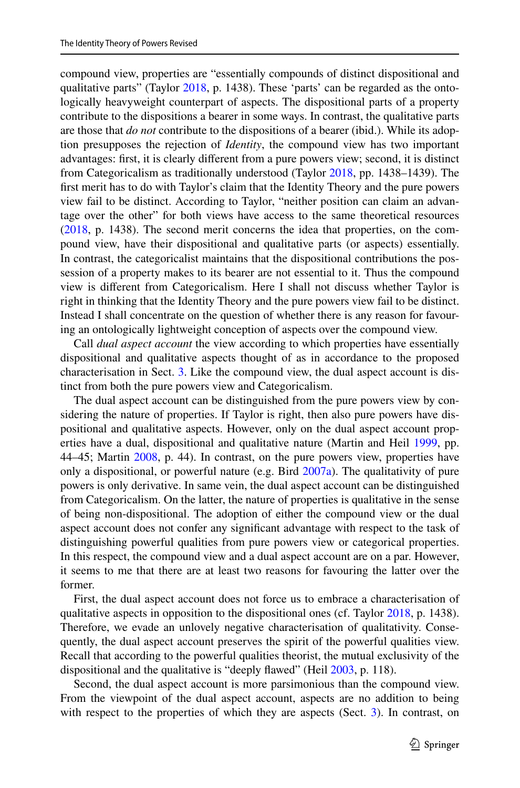compound view, properties are "essentially compounds of distinct dispositional and qualitative parts" (Taylor [2018,](#page-18-12) p. 1438). These 'parts' can be regarded as the ontologically heavyweight counterpart of aspects. The dispositional parts of a property contribute to the dispositions a bearer in some ways. In contrast, the qualitative parts are those that *do not* contribute to the dispositions of a bearer (ibid.). While its adoption presupposes the rejection of *Identity*, the compound view has two important advantages: frst, it is clearly diferent from a pure powers view; second, it is distinct from Categoricalism as traditionally understood (Taylor [2018,](#page-18-12) pp. 1438–1439). The frst merit has to do with Taylor's claim that the Identity Theory and the pure powers view fail to be distinct. According to Taylor, "neither position can claim an advantage over the other" for both views have access to the same theoretical resources [\(2018](#page-18-12), p. 1438). The second merit concerns the idea that properties, on the compound view, have their dispositional and qualitative parts (or aspects) essentially. In contrast, the categoricalist maintains that the dispositional contributions the possession of a property makes to its bearer are not essential to it. Thus the compound view is diferent from Categoricalism. Here I shall not discuss whether Taylor is right in thinking that the Identity Theory and the pure powers view fail to be distinct. Instead I shall concentrate on the question of whether there is any reason for favouring an ontologically lightweight conception of aspects over the compound view.

Call *dual aspect account* the view according to which properties have essentially dispositional and qualitative aspects thought of as in accordance to the proposed characterisation in Sect. [3.](#page-7-0) Like the compound view, the dual aspect account is distinct from both the pure powers view and Categoricalism.

The dual aspect account can be distinguished from the pure powers view by considering the nature of properties. If Taylor is right, then also pure powers have dispositional and qualitative aspects. However, only on the dual aspect account properties have a dual, dispositional and qualitative nature (Martin and Heil [1999,](#page-18-13) pp. 44–45; Martin [2008](#page-18-10), p. 44). In contrast, on the pure powers view, properties have only a dispositional, or powerful nature (e.g. Bird [2007a](#page-17-0)). The qualitativity of pure powers is only derivative. In same vein, the dual aspect account can be distinguished from Categoricalism. On the latter, the nature of properties is qualitative in the sense of being non-dispositional. The adoption of either the compound view or the dual aspect account does not confer any signifcant advantage with respect to the task of distinguishing powerful qualities from pure powers view or categorical properties. In this respect, the compound view and a dual aspect account are on a par. However, it seems to me that there are at least two reasons for favouring the latter over the former.

First, the dual aspect account does not force us to embrace a characterisation of qualitative aspects in opposition to the dispositional ones (cf. Taylor [2018](#page-18-12), p. 1438). Therefore, we evade an unlovely negative characterisation of qualitativity. Consequently, the dual aspect account preserves the spirit of the powerful qualities view. Recall that according to the powerful qualities theorist, the mutual exclusivity of the dispositional and the qualitative is "deeply fawed" (Heil [2003,](#page-18-11) p. 118).

Second, the dual aspect account is more parsimonious than the compound view. From the viewpoint of the dual aspect account, aspects are no addition to being with respect to the properties of which they are aspects (Sect. [3\)](#page-7-0). In contrast, on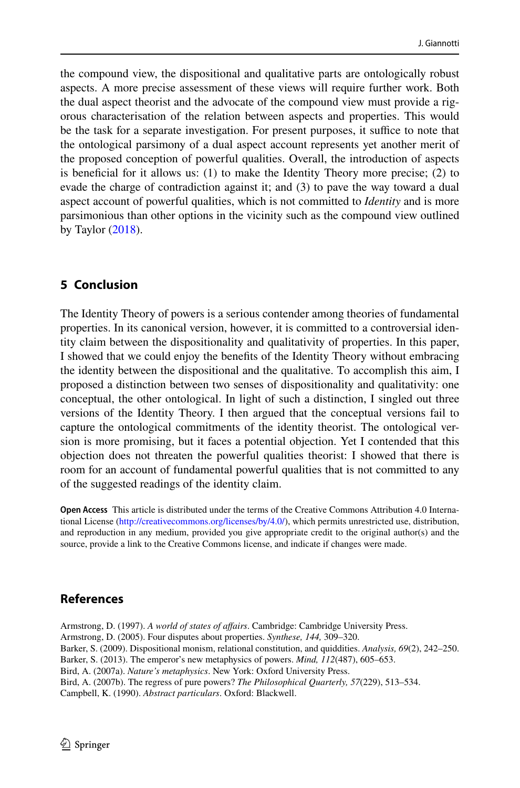the compound view, the dispositional and qualitative parts are ontologically robust aspects. A more precise assessment of these views will require further work. Both the dual aspect theorist and the advocate of the compound view must provide a rigorous characterisation of the relation between aspects and properties. This would be the task for a separate investigation. For present purposes, it suffice to note that the ontological parsimony of a dual aspect account represents yet another merit of the proposed conception of powerful qualities. Overall, the introduction of aspects is benefcial for it allows us: (1) to make the Identity Theory more precise; (2) to evade the charge of contradiction against it; and (3) to pave the way toward a dual aspect account of powerful qualities, which is not committed to *Identity* and is more parsimonious than other options in the vicinity such as the compound view outlined by Taylor ([2018\)](#page-18-12).

## **5 Conclusion**

The Identity Theory of powers is a serious contender among theories of fundamental properties. In its canonical version, however, it is committed to a controversial identity claim between the dispositionality and qualitativity of properties. In this paper, I showed that we could enjoy the benefts of the Identity Theory without embracing the identity between the dispositional and the qualitative. To accomplish this aim, I proposed a distinction between two senses of dispositionality and qualitativity: one conceptual, the other ontological. In light of such a distinction, I singled out three versions of the Identity Theory. I then argued that the conceptual versions fail to capture the ontological commitments of the identity theorist. The ontological version is more promising, but it faces a potential objection. Yet I contended that this objection does not threaten the powerful qualities theorist: I showed that there is room for an account of fundamental powerful qualities that is not committed to any of the suggested readings of the identity claim.

**Open Access** This article is distributed under the terms of the Creative Commons Attribution 4.0 International License ([http://creativecommons.org/licenses/by/4.0/\)](http://creativecommons.org/licenses/by/4.0/), which permits unrestricted use, distribution, and reproduction in any medium, provided you give appropriate credit to the original author(s) and the source, provide a link to the Creative Commons license, and indicate if changes were made.

#### **References**

<span id="page-17-6"></span><span id="page-17-5"></span><span id="page-17-4"></span><span id="page-17-3"></span><span id="page-17-2"></span><span id="page-17-1"></span><span id="page-17-0"></span>Armstrong, D. (1997). *A world of states of afairs*. Cambridge: Cambridge University Press. Armstrong, D. (2005). Four disputes about properties. *Synthese, 144,* 309–320. Barker, S. (2009). Dispositional monism, relational constitution, and quiddities. *Analysis, 69*(2), 242–250. Barker, S. (2013). The emperor's new metaphysics of powers. *Mind, 112*(487), 605–653. Bird, A. (2007a). *Nature's metaphysics*. New York: Oxford University Press. Bird, A. (2007b). The regress of pure powers? *The Philosophical Quarterly, 57*(229), 513–534. Campbell, K. (1990). *Abstract particulars*. Oxford: Blackwell.